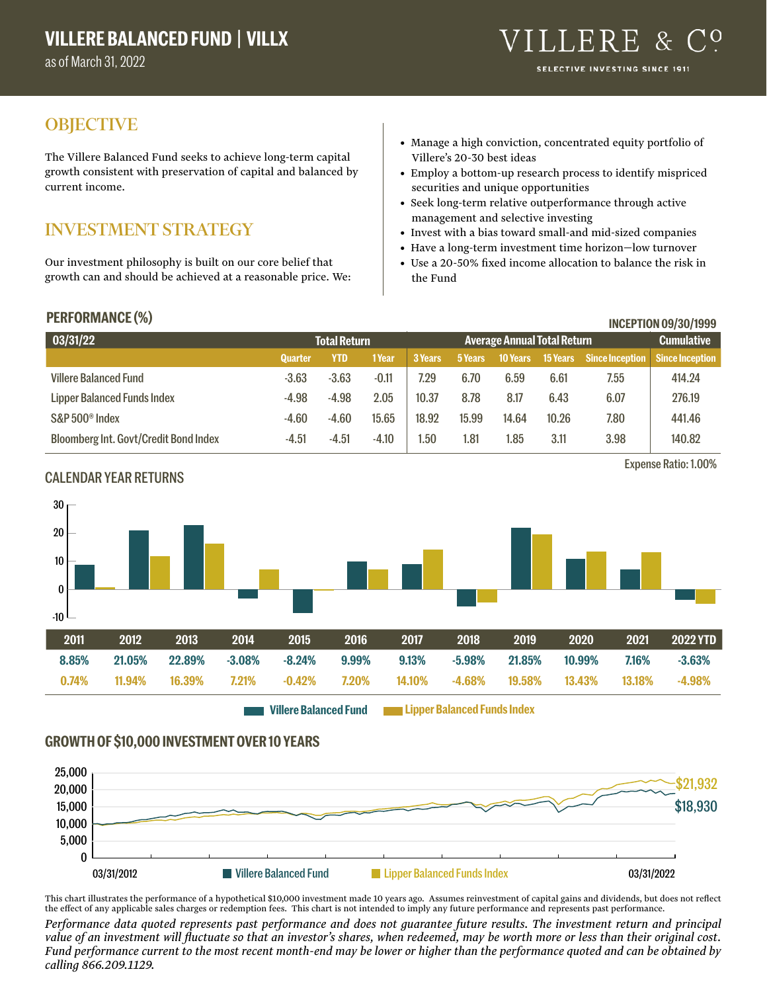as of March 31, 2022

# **OBJECTIVE**

The Villere Balanced Fund seeks to achieve long-term capital growth consistent with preservation of capital and balanced by current income.

# INVESTMENT STRATEGY

Our investment philosophy is built on our core belief that growth can and should be achieved at a reasonable price. We:

- Manage a high conviction, concentrated equity portfolio of Villere's 20-30 best ideas
- Employ a bottom-up research process to identify mispriced securities and unique opportunities
- Seek long-term relative outperformance through active management and selective investing
- Invest with a bias toward small-and mid-sized companies
- Have a long-term investment time horizon—low turnover
- Use a 20-50% fixed income allocation to balance the risk in the Fund

CALENDAR YEAR RETURNS

| <b>PERFORMANCE (%)</b>                       |                |                     |              |         |                                    |                 |                 |                        | <b>INCEPTION 09/30/1999</b> |
|----------------------------------------------|----------------|---------------------|--------------|---------|------------------------------------|-----------------|-----------------|------------------------|-----------------------------|
| 03/31/22                                     |                | <b>Total Return</b> |              |         | <b>Average Annual Total Return</b> |                 |                 |                        | <b>Cumulative</b>           |
|                                              | <b>Quarter</b> | <b>YTD</b>          | <b>1Year</b> | 3 Years | 5 Years                            | <b>10 Years</b> | <b>15 Years</b> | <b>Since Inception</b> | <b>Since Inception</b>      |
| <b>Villere Balanced Fund</b>                 | $-3.63$        | $-3.63$             | $-0.11$      | 7.29    | 6.70                               | 6.59            | 6.61            | 7.55                   | 414.24                      |
| <b>Lipper Balanced Funds Index</b>           | $-4.98$        | $-4.98$             | 2.05         | 10.37   | 8.78                               | 8.17            | 6.43            | 6.07                   | 276.19                      |
| S&P 500 <sup>®</sup> Index                   | $-4.60$        | $-4.60$             | 15.65        | 18.92   | 15.99                              | 14.64           | 10.26           | 7.80                   | 441.46                      |
| <b>Bloomberg Int. Govt/Credit Bond Index</b> | $-4.51$        | $-4.51$             | $-4.10$      | .50     | 1.81                               | 1.85            | 3.11            | 3.98                   | 140.82                      |

# 20 30

# -10  $\mathbf{0}$ 10 **2011 2012 2013 2014 2015 2016 2017 2018 2019 2020 2021 2022 YTD 8.85% 21.05% 22.89% -3.08% -8.24% 9.99% 9.13% -5.98% 21.85% 10.99% 7.16% -3.63% 0.74% 11.94% 16.39% 7.21% -0.42% 7.20% 14.10% -4.68% 19.58% 13.43% 13.18% -4.98%**

**Villere Balanced Fund Lipper Balanced Funds Index**

### **GROWTH OF \$10,000 INVESTMENT OVER 10 YEARS**



This chart illustrates the performance of a hypothetical \$10,000 investment made 10 years ago. Assumes reinvestment of capital gains and dividends, but does not reflect the effect of any applicable sales charges or redemption fees. This chart is not intended to imply any future performance and represents past performance.

*Performance data quoted represents past performance and does not guarantee future results. The investment return and principal value of an investment will fluctuate so that an investor's shares, when redeemed, may be worth more or less than their original cost. Fund performance current to the most recent month-end may be lower or higher than the performance quoted and can be obtained by calling 866.209.1129.*

Expense Ratio: 1.00%